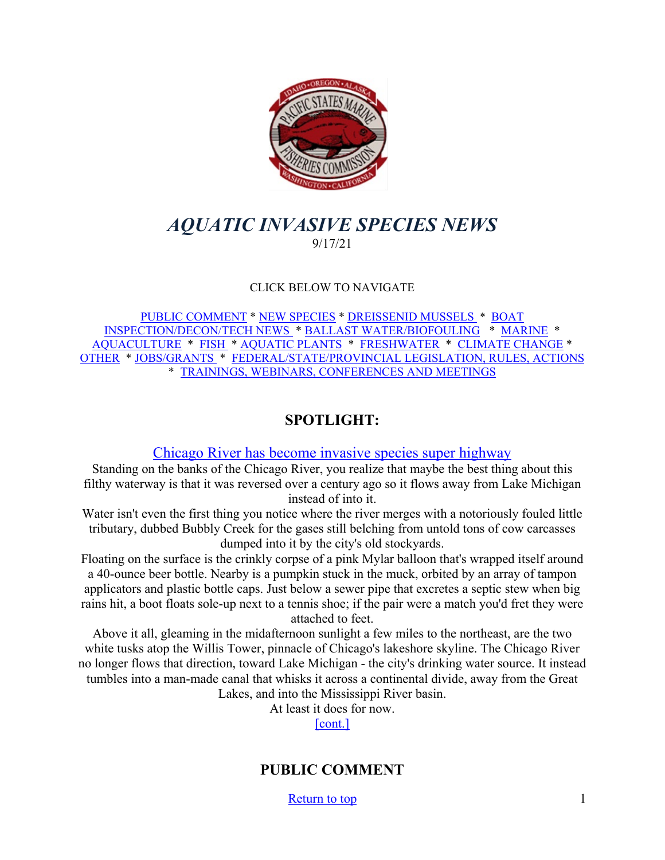

# <span id="page-0-0"></span>*AQUATIC INVASIVE SPECIES NEWS* 9/17/21

# CLICK BELOW TO NAVIGATE

[PUBLIC COMMENT](#page-0-1) \* [NEW SPECIES](#page-2-0) \* [DREISSENID MUSSELS](#page-3-0) \* [BOAT](#page-5-0)  [INSPECTION/DECON/TECH NEWS](#page-5-0) \* [BALLAST WATER/BIOFOULING](#page-6-0) \* [MARINE](#page-7-0) \* [AQUACULTURE](#page-7-1) \* [FISH](#page-8-0) \* [AQUATIC PLANTS](#page-8-1) \* [FRESHWATER](#page-9-0) \* [CLIMATE CHANGE](#page-9-1) \* [OTHER](#page-9-2) \* [JOBS/GRANTS](#page-10-0) \* [FEDERAL/STATE/PROVINCIAL LEGISLATION, RULES, ACTIONS](#page-14-0) \* [TRAININGS, WEBINARS, CONFERENCES AND MEETINGS](#page-18-0) 

# **SPOTLIGHT:**

[Chicago River has become invasive species super highway](https://www.jsonline.com/in-depth/archives/2021/08/30/deep-trouble-chicago-river-has-become-invasive-species-super-highway/7881282002/)

Standing on the banks of the Chicago River, you realize that maybe the best thing about this filthy waterway is that it was reversed over a century ago so it flows away from Lake Michigan instead of into it.

Water isn't even the first thing you notice where the river merges with a notoriously fouled little tributary, dubbed Bubbly Creek for the gases still belching from untold tons of cow carcasses dumped into it by the city's old stockyards.

Floating on the surface is the crinkly corpse of a pink Mylar balloon that's wrapped itself around a 40-ounce beer bottle. Nearby is a pumpkin stuck in the muck, orbited by an array of tampon applicators and plastic bottle caps. Just below a sewer pipe that excretes a septic stew when big rains hit, a boot floats sole-up next to a tennis shoe; if the pair were a match you'd fret they were attached to feet.

<span id="page-0-1"></span>Above it all, gleaming in the midafternoon sunlight a few miles to the northeast, are the two white tusks atop the Willis Tower, pinnacle of Chicago's lakeshore skyline. The Chicago River no longer flows that direction, toward Lake Michigan - the city's drinking water source. It instead tumbles into a man-made canal that whisks it across a continental divide, away from the Great Lakes, and into the Mississippi River basin.

At least it does for now.

[\[cont.\]](https://www.jsonline.com/in-depth/archives/2021/08/30/deep-trouble-chicago-river-has-become-invasive-species-super-highway/7881282002/)

# **PUBLIC COMMENT**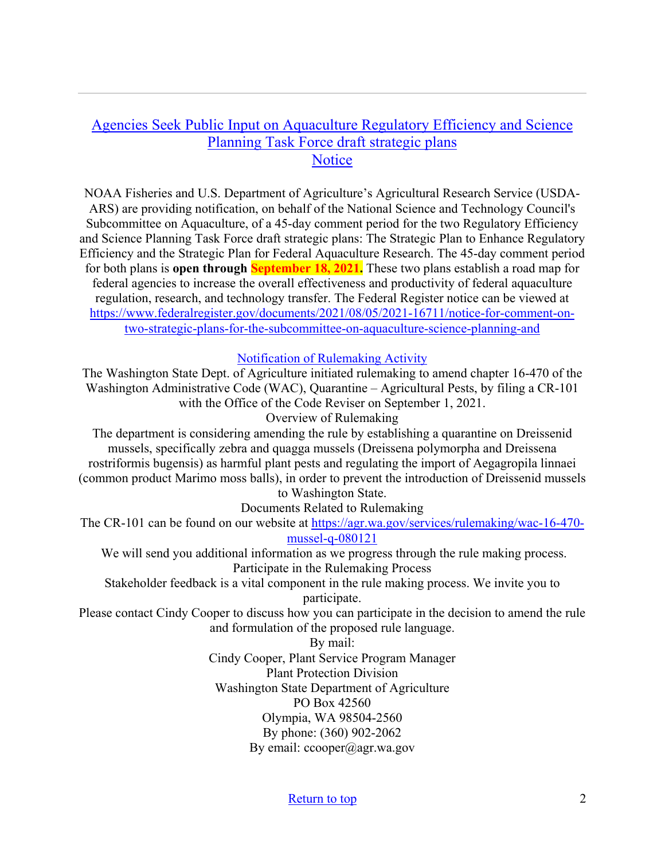# [Agencies Seek Public Input on Aquaculture Regulatory Efficiency and Science](https://www.fisheries.noaa.gov/action/agencies-seek-public-input-aquaculture-regulatory-efficiency-and-science-planning-task-force?utm_medium=email&utm_source=govdelivery)  [Planning Task Force draft strategic plans](https://www.fisheries.noaa.gov/action/agencies-seek-public-input-aquaculture-regulatory-efficiency-and-science-planning-task-force?utm_medium=email&utm_source=govdelivery) **[Notice](https://www.fisheries.noaa.gov/action/agencies-seek-public-input-aquaculture-regulatory-efficiency-and-science-planning-task-force?utm_medium=email&utm_source=govdelivery)**

NOAA Fisheries and U.S. Department of Agriculture's Agricultural Research Service (USDA-ARS) are providing notification, on behalf of the National Science and Technology Council's Subcommittee on Aquaculture, of a 45-day comment period for the two Regulatory Efficiency and Science Planning Task Force draft strategic plans: The Strategic Plan to Enhance Regulatory Efficiency and the Strategic Plan for Federal Aquaculture Research. The 45-day comment period for both plans is **open through September 18, 2021.** These two plans establish a road map for federal agencies to increase the overall effectiveness and productivity of federal aquaculture regulation, research, and technology transfer. The Federal Register notice can be viewed at [https://www.federalregister.gov/documents/2021/08/05/2021-16711/notice-for-comment-on](https://www.federalregister.gov/documents/2021/08/05/2021-16711/notice-for-comment-on-two-strategic-plans-for-the-subcommittee-on-aquaculture-science-planning-and)[two-strategic-plans-for-the-subcommittee-on-aquaculture-science-planning-and](https://www.federalregister.gov/documents/2021/08/05/2021-16711/notice-for-comment-on-two-strategic-plans-for-the-subcommittee-on-aquaculture-science-planning-and)

[Notification of Rulemaking Activity](https://agr.wa.gov/services/rulemaking/wac-16-470-mussel-q-080121)

The Washington State Dept. of Agriculture initiated rulemaking to amend chapter 16-470 of the Washington Administrative Code (WAC), Quarantine – Agricultural Pests, by filing a CR-101 with the Office of the Code Reviser on September 1, 2021.

Overview of Rulemaking

The department is considering amending the rule by establishing a quarantine on Dreissenid mussels, specifically zebra and quagga mussels (Dreissena polymorpha and Dreissena rostriformis bugensis) as harmful plant pests and regulating the import of Aegagropila linnaei (common product Marimo moss balls), in order to prevent the introduction of Dreissenid mussels to Washington State.

Documents Related to Rulemaking

The CR-101 can be found on our website at [https://agr.wa.gov/services/rulemaking/wac-16-470](https://agr.wa.gov/services/rulemaking/wac-16-470-mussel-q-080121) [mussel-q-080121](https://agr.wa.gov/services/rulemaking/wac-16-470-mussel-q-080121)

We will send you additional information as we progress through the rule making process. Participate in the Rulemaking Process

Stakeholder feedback is a vital component in the rule making process. We invite you to participate.

Please contact Cindy Cooper to discuss how you can participate in the decision to amend the rule and formulation of the proposed rule language.

By mail:

Cindy Cooper, Plant Service Program Manager Plant Protection Division Washington State Department of Agriculture PO Box 42560 Olympia, WA 98504-2560 By phone: (360) 902-2062 By email: ccooper@agr.wa.gov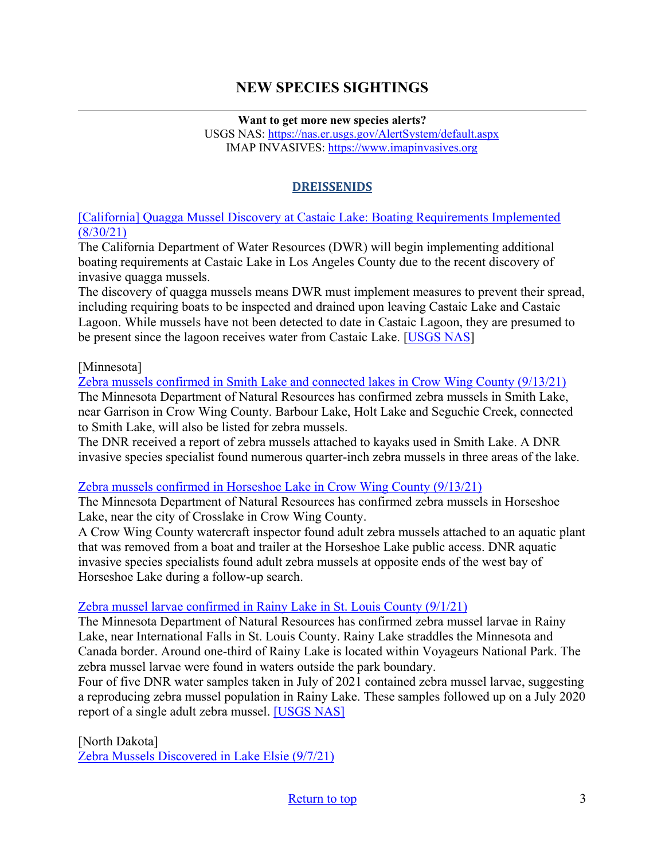# **NEW SPECIES SIGHTINGS**

**Want to get more new species alerts?** USGS NAS:<https://nas.er.usgs.gov/AlertSystem/default.aspx> IMAP INVASIVES: [https://www.imapinvasives.org](https://www.imapinvasives.org/)

### **DREISSENIDS**

<span id="page-2-0"></span>[\[California\] Quagga Mussel Discovery at Castaic Lake: Boating Requirements Implemented](https://water.ca.gov/News/News-Releases/2021/Aug-21/Quagga-Mussel-Discovery-at-Castaic-Lake)  [\(8/30/21\)](https://water.ca.gov/News/News-Releases/2021/Aug-21/Quagga-Mussel-Discovery-at-Castaic-Lake)

The California Department of Water Resources (DWR) will begin implementing additional boating requirements at Castaic Lake in Los Angeles County due to the recent discovery of invasive quagga mussels.

The discovery of quagga mussels means DWR must implement measures to prevent their spread, including requiring boats to be inspected and drained upon leaving Castaic Lake and Castaic Lagoon. While mussels have not been detected to date in Castaic Lagoon, they are presumed to be present since the lagoon receives water from Castaic Lake. [\[USGS NAS\]](https://nas.er.usgs.gov/queries/specimenviewer.aspx?SpecimenID=1658406)

#### [Minnesota]

[Zebra mussels confirmed in Smith Lake and connected lakes in Crow Wing County \(9/13/21\)](https://www.dnr.state.mn.us/news/2021/09/13/zebra-mussels-confirmed-smith-lake-and-connected-lakes-crow-wing-county) The Minnesota Department of Natural Resources has confirmed zebra mussels in Smith Lake, near Garrison in Crow Wing County. Barbour Lake, Holt Lake and Seguchie Creek, connected to Smith Lake, will also be listed for zebra mussels.

The DNR received a report of zebra mussels attached to kayaks used in Smith Lake. A DNR invasive species specialist found numerous quarter-inch zebra mussels in three areas of the lake.

#### [Zebra mussels confirmed in Horseshoe Lake in Crow Wing County \(9/13/21\)](https://www.dnr.state.mn.us/news/2021/09/03/zebra-mussels-confirmed-horseshoe-lake-crow-wing-county)

The Minnesota Department of Natural Resources has confirmed zebra mussels in Horseshoe Lake, near the city of Crosslake in Crow Wing County.

A Crow Wing County watercraft inspector found adult zebra mussels attached to an aquatic plant that was removed from a boat and trailer at the Horseshoe Lake public access. DNR aquatic invasive species specialists found adult zebra mussels at opposite ends of the west bay of Horseshoe Lake during a follow-up search.

#### [Zebra mussel larvae confirmed in Rainy Lake in St. Louis County \(9/1/21\)](https://www.dnr.state.mn.us/news/2021/09/01/zebra-mussel-larvae-confirmed-rainy-lake-st-louis-county)

The Minnesota Department of Natural Resources has confirmed zebra mussel larvae in Rainy Lake, near International Falls in St. Louis County. Rainy Lake straddles the Minnesota and Canada border. Around one-third of Rainy Lake is located within Voyageurs National Park. The zebra mussel larvae were found in waters outside the park boundary.

Four of five DNR water samples taken in July of 2021 contained zebra mussel larvae, suggesting a reproducing zebra mussel population in Rainy Lake. These samples followed up on a July 2020 report of a single adult zebra mussel. [\[USGS NAS\]](https://nas.er.usgs.gov/queries/specimenviewer.aspx?SpecimenID=1658486)

[North Dakota] [Zebra Mussels Discovered in Lake Elsie \(9/7/21\)](https://gf.nd.gov/news/4944)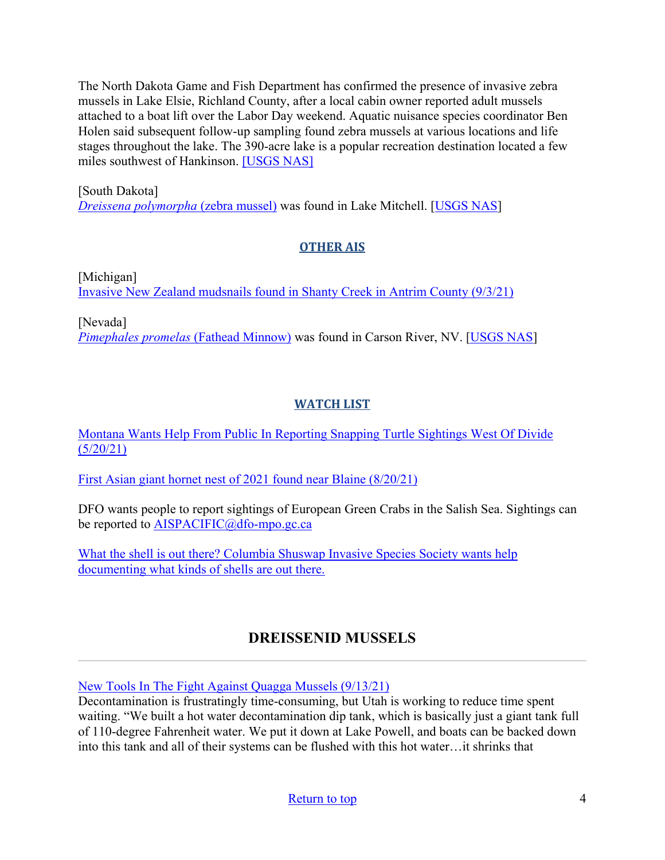The North Dakota Game and Fish Department has confirmed the presence of invasive zebra mussels in Lake Elsie, Richland County, after a local cabin owner reported adult mussels attached to a boat lift over the Labor Day weekend. Aquatic nuisance species coordinator Ben Holen said subsequent follow-up sampling found zebra mussels at various locations and life stages throughout the lake. The 390-acre lake is a popular recreation destination located a few miles southwest of Hankinson. [\[USGS NAS\]](https://nas.er.usgs.gov/queries/specimenviewer.aspx?SpecimenID=1658512)

[South Dakota] *[Dreissena polymorpha](https://nas.er.usgs.gov/queries/SpResults.aspx?SpeciesID=5)* (zebra mussel) was found in Lake Mitchell. [\[USGS NAS\]](https://nas.er.usgs.gov/queries/specimenviewer.aspx?SpecimenID=1658513)

# **OTHER AIS**

[Michigan] [Invasive New Zealand mudsnails found in Shanty Creek in Antrim County \(9/3/21\)](https://www.michigan.gov/dnr/0,4570,7-350-86469-567381--,00.html)

[Nevada] *[Pimephales promelas](https://nas.er.usgs.gov/queries/SpResults.aspx?SpeciesID=621)* (Fathead Minnow) was found in Carson River, NV. [\[USGS NAS\]](https://nas.er.usgs.gov/queries/specimenviewer.aspx?SpecimenID=1658381)

# **WATCH LIST**

[Montana Wants Help From Public In Reporting Snapping Turtle Sightings West Of Divide](https://www.cbbulletin.com/montana-wants-help-from-public-in-reporting-snapping-turtle-sightings-west-of-divide/)   $(5/20/21)$ 

[First Asian giant hornet nest of 2021 found near Blaine \(8/20/21\)](https://www.newsbreak.com/news/2346988490362/first-asian-giant-hornet-nest-of-2021-found-near-blaine)

DFO wants people to report sightings of European Green Crabs in the Salish Sea. Sightings can be reported to [AISPACIFIC@dfo-mpo.gc.ca](mailto:AISPACIFIC@dfo-mpo.gc.ca)

What the shell is out there? Columbia Shuswap Invasive Species Society wants help [documenting what kinds of shells are out there.](https://www.castanet.net/news/Salmon-Arm/344047/Columbia-Shuswap-Invasive-Species-Society-wants-help-documenting-what-kinds-of-shells-are-out-there) 

# **DREISSENID MUSSELS**

<span id="page-3-0"></span>[New Tools In The Fight Against Quagga Mussels \(9/13/21\)](https://www.upr.org/post/new-tools-fight-against-quagga-mussels#stream/0)

Decontamination is frustratingly time-consuming, but Utah is working to reduce time spent waiting. "We built a hot water decontamination dip tank, which is basically just a giant tank full of 110-degree Fahrenheit water. We put it down at Lake Powell, and boats can be backed down into this tank and all of their systems can be flushed with this hot water…it shrinks that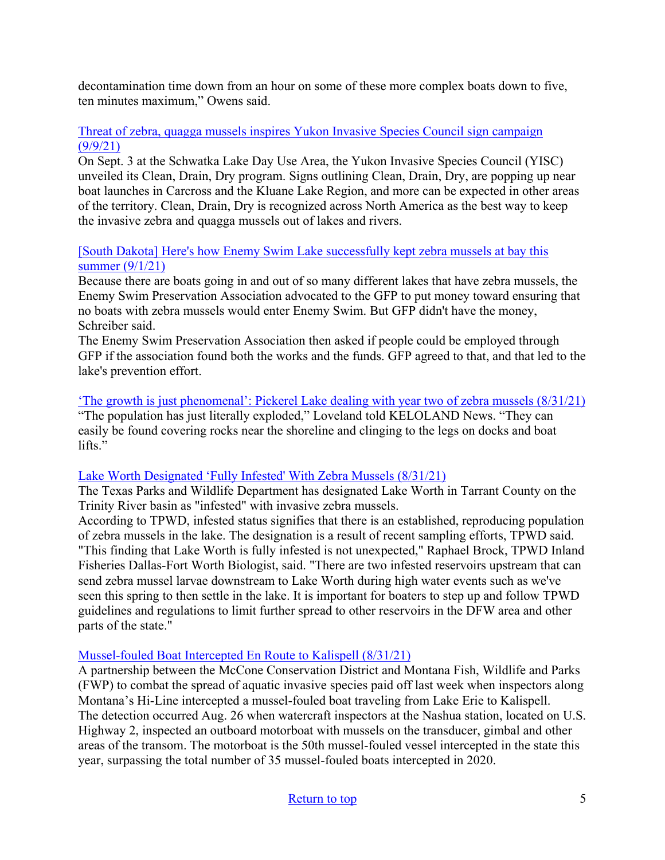decontamination time down from an hour on some of these more complex boats down to five, ten minutes maximum," Owens said.

# [Threat of zebra, quagga mussels inspires Yukon Invasive Species Council sign campaign](https://www.yukon-news.com/news/threat-of-zebra-quagga-mussels-inspires-yukon-invasive-species-council-sign-campagin/)  [\(9/9/21\)](https://www.yukon-news.com/news/threat-of-zebra-quagga-mussels-inspires-yukon-invasive-species-council-sign-campagin/)

On Sept. 3 at the Schwatka Lake Day Use Area, the Yukon Invasive Species Council (YISC) unveiled its Clean, Drain, Dry program. Signs outlining Clean, Drain, Dry, are popping up near boat launches in Carcross and the Kluane Lake Region, and more can be expected in other areas of the territory. Clean, Drain, Dry is recognized across North America as the best way to keep the invasive zebra and quagga mussels out of lakes and rivers.

# [\[South Dakota\] Here's how Enemy Swim Lake successfully kept zebra mussels at bay this](https://www.aberdeennews.com/story/news/local/2021/09/01/south-dakota-enemy-swim-lake-successfully-kept-zebra-mussels-bay-summer-day-county-invasive-species/5620749001/)  [summer \(9/1/21\)](https://www.aberdeennews.com/story/news/local/2021/09/01/south-dakota-enemy-swim-lake-successfully-kept-zebra-mussels-bay-summer-day-county-invasive-species/5620749001/)

Because there are boats going in and out of so many different lakes that have zebra mussels, the Enemy Swim Preservation Association advocated to the GFP to put money toward ensuring that no boats with zebra mussels would enter Enemy Swim. But GFP didn't have the money, Schreiber said.

The Enemy Swim Preservation Association then asked if people could be employed through GFP if the association found both the works and the funds. GFP agreed to that, and that led to the lake's prevention effort.

['The growth is just phenomenal': Pickerel Lake dealing with year two of zebra mussels \(8/31/21\)](https://www.keloland.com/keloland-com-original/the-growth-is-just-phenomenal-pickerel-lake-dealing-with-year-two-of-zebra-mussels/) "The population has just literally exploded," Loveland told KELOLAND News. "They can easily be found covering rocks near the shoreline and clinging to the legs on docks and boat lifts."

# [Lake Worth Designated 'Fully Infested' With Zebra Mussels \(8/31/21\)](https://www.nbcdfw.com/news/local/lake-worth-designated-fully-infested-with-zebra-mussels/2731317/)

The Texas Parks and Wildlife Department has designated Lake Worth in Tarrant County on the Trinity River basin as "infested" with invasive zebra mussels.

According to TPWD, infested status signifies that there is an established, reproducing population of zebra mussels in the lake. The designation is a result of recent sampling efforts, TPWD said. "This finding that Lake Worth is fully infested is not unexpected," Raphael Brock, TPWD Inland Fisheries Dallas-Fort Worth Biologist, said. "There are two infested reservoirs upstream that can send zebra mussel larvae downstream to Lake Worth during high water events such as we've seen this spring to then settle in the lake. It is important for boaters to step up and follow TPWD guidelines and regulations to limit further spread to other reservoirs in the DFW area and other parts of the state."

# [Mussel-fouled Boat Intercepted En Route to Kalispell \(8/31/21\)](https://flatheadbeacon.com/2021/08/31/mussel-fouled-boat-intercepted-en-route-to-kalispell/)

A partnership between the McCone Conservation District and Montana Fish, Wildlife and Parks (FWP) to combat the spread of aquatic invasive species paid off last week when inspectors along Montana's Hi-Line intercepted a mussel-fouled boat traveling from Lake Erie to Kalispell. The detection occurred Aug. 26 when watercraft inspectors at the Nashua station, located on U.S. Highway 2, inspected an outboard motorboat with mussels on the transducer, gimbal and other areas of the transom. The motorboat is the 50th mussel-fouled vessel intercepted in the state this year, surpassing the total number of 35 mussel-fouled boats intercepted in 2020.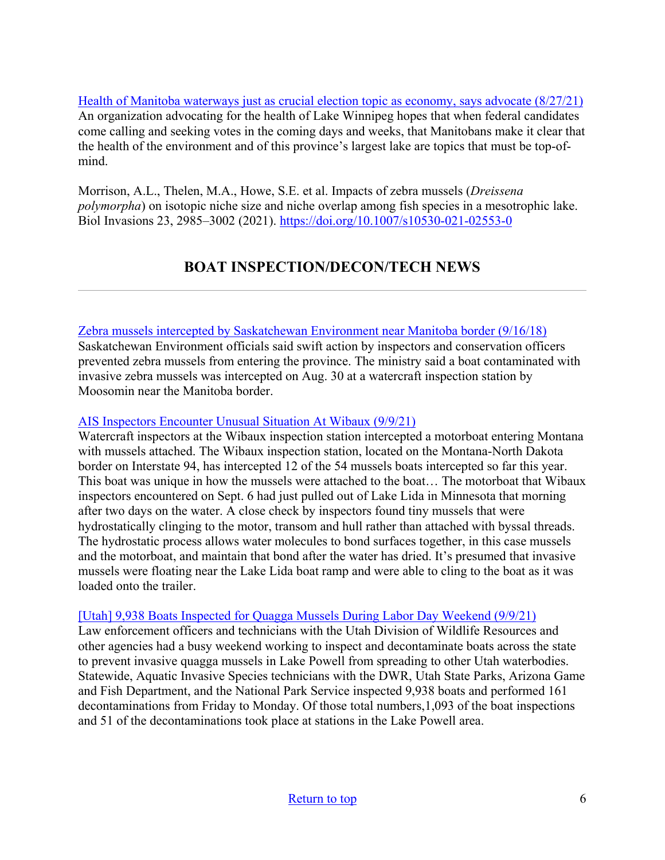[Health of Manitoba waterways just as crucial election topic as economy, says advocate \(8/27/21\)](https://calgarysun.com/news/election-2021/health-of-manitoba-waterways-just-as-crucial-election-topic-as-economy-says-advocate) An organization advocating for the health of Lake Winnipeg hopes that when federal candidates come calling and seeking votes in the coming days and weeks, that Manitobans make it clear that the health of the environment and of this province's largest lake are topics that must be top-ofmind.

Morrison, A.L., Thelen, M.A., Howe, S.E. et al. Impacts of zebra mussels (*Dreissena polymorpha*) on isotopic niche size and niche overlap among fish species in a mesotrophic lake. Biol Invasions 23, 2985–3002 (2021).<https://doi.org/10.1007/s10530-021-02553-0>

# **BOAT INSPECTION/DECON/TECH NEWS**

<span id="page-5-0"></span>[Zebra mussels intercepted by Saskatchewan Environment near Manitoba border \(9/16/18\)](https://globalnews.ca/news/8195597/zebra-mussels-saskatchewan-environment-manitoba-border/?utm_source=IMC+Dreissenid+Digest&utm_campaign=4395d3f444-Weekly_Dreissenid_Digest_4_13_2018_COPY_01&utm_medium=email&utm_term=0_68bd7ec89f-4395d3f444-192983185)

Saskatchewan Environment officials said swift action by inspectors and conservation officers prevented zebra mussels from entering the province. The ministry said a boat contaminated with invasive zebra mussels was intercepted on Aug. 30 at a watercraft inspection station by Moosomin near the Manitoba border.

# [AIS Inspectors Encounter Unusual Situation At Wibaux \(9/9/21\)](https://fwp.mt.gov/homepage/news/2021/sept/09-09-2021-ais-inspectors-encounter-unusual-situation-at-wibaux)

Watercraft inspectors at the Wibaux inspection station intercepted a motorboat entering Montana with mussels attached. The Wibaux inspection station, located on the Montana-North Dakota border on Interstate 94, has intercepted 12 of the 54 mussels boats intercepted so far this year. This boat was unique in how the mussels were attached to the boat… The motorboat that Wibaux inspectors encountered on Sept. 6 had just pulled out of Lake Lida in Minnesota that morning after two days on the water. A close check by inspectors found tiny mussels that were hydrostatically clinging to the motor, transom and hull rather than attached with byssal threads. The hydrostatic process allows water molecules to bond surfaces together, in this case mussels and the motorboat, and maintain that bond after the water has dried. It's presumed that invasive mussels were floating near the Lake Lida boat ramp and were able to cling to the boat as it was loaded onto the trailer.

# [\[Utah\] 9,938 Boats Inspected for Quagga Mussels During Labor Day Weekend \(9/9/21\)](https://etvnews.com/9938-boats-inspected-for-quagga-mussels-during-labor-day-weekend/)

Law enforcement officers and technicians with the Utah Division of Wildlife Resources and other agencies had a busy weekend working to inspect and decontaminate boats across the state to prevent invasive quagga mussels in Lake Powell from spreading to other Utah waterbodies. Statewide, Aquatic Invasive Species technicians with the DWR, Utah State Parks, Arizona Game and Fish Department, and the National Park Service inspected 9,938 boats and performed 161 decontaminations from Friday to Monday. Of those total numbers,1,093 of the boat inspections and 51 of the decontaminations took place at stations in the Lake Powell area.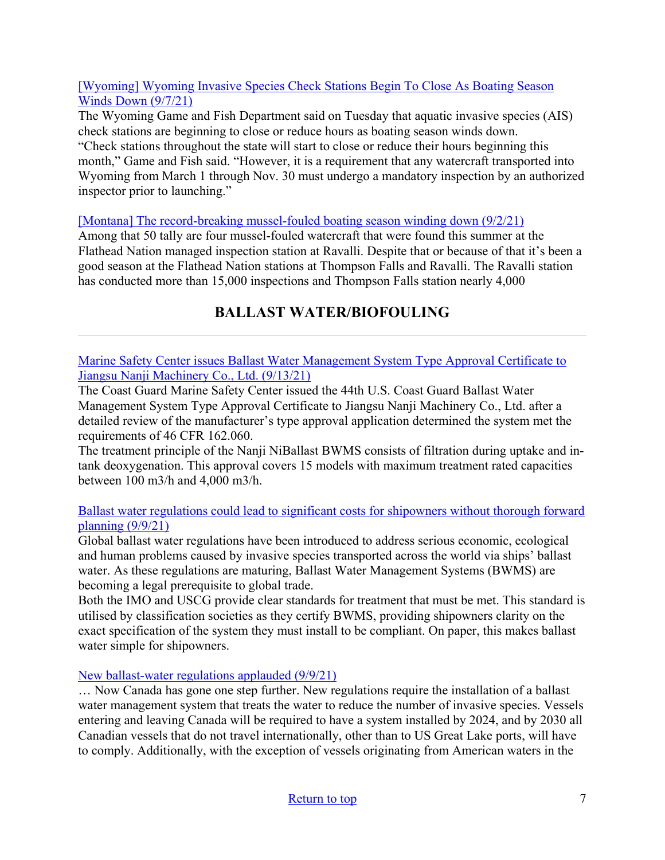# [\[Wyoming\] Wyoming Invasive Species Check Stations Begin To Close As Boating Season](https://oilcity.news/community/2021/09/07/wyoming-invasive-species-check-stations-begin-to-close-as-boating-season-winds-down/)  [Winds Down \(9/7/21\)](https://oilcity.news/community/2021/09/07/wyoming-invasive-species-check-stations-begin-to-close-as-boating-season-winds-down/)

The Wyoming Game and Fish Department said on Tuesday that aquatic invasive species (AIS) check stations are beginning to close or reduce hours as boating season winds down. "Check stations throughout the state will start to close or reduce their hours beginning this month," Game and Fish said. "However, it is a requirement that any watercraft transported into Wyoming from March 1 through Nov. 30 must undergo a mandatory inspection by an authorized inspector prior to launching."

# [\[Montana\] The record-breaking mussel-fouled boating season winding down \(9/2/21\)](http://www.charkoosta.com/news/the-record-breaking-mussel-fouled-boating-season-winding-down/article_c117d3da-0c38-11ec-b7c7-f335a78fe8d7.html)

Among that 50 tally are four mussel-fouled watercraft that were found this summer at the Flathead Nation managed inspection station at Ravalli. Despite that or because of that it's been a good season at the Flathead Nation stations at Thompson Falls and Ravalli. The Ravalli station has conducted more than 15,000 inspections and Thompson Falls station nearly 4,000

# **BALLAST WATER/BIOFOULING**

<span id="page-6-0"></span>[Marine Safety Center issues Ballast Water Management System Type Approval Certificate to](https://mariners.coastguard.blog/2021/09/13/marine-safety-center-issues-ballast-water-management-system-type-approval-certificate-to-jiangsu-nanji-machinery-co-ltd/?utm_source=feedburner&utm_medium=email&utm_campaign=Feed%3A+MaritimeCommons+%28Maritime+Commons%29)  [Jiangsu Nanji Machinery Co., Ltd. \(9/13/21\)](https://mariners.coastguard.blog/2021/09/13/marine-safety-center-issues-ballast-water-management-system-type-approval-certificate-to-jiangsu-nanji-machinery-co-ltd/?utm_source=feedburner&utm_medium=email&utm_campaign=Feed%3A+MaritimeCommons+%28Maritime+Commons%29)

The Coast Guard Marine Safety Center issued the 44th U.S. Coast Guard Ballast Water Management System Type Approval Certificate to Jiangsu Nanji Machinery Co., Ltd. after a detailed review of the manufacturer's type approval application determined the system met the requirements of 46 CFR 162.060.

The treatment principle of the Nanji NiBallast BWMS consists of filtration during uptake and intank deoxygenation. This approval covers 15 models with maximum treatment rated capacities between 100 m3/h and 4,000 m3/h.

# [Ballast water regulations could lead to significant costs for shipowners without thorough forward](https://www.hellenicshippingnews.com/ballast-water-regulations-could-lead-to-significant-costs-for-shipowners-without-thorough-forward-planning/)  [planning \(9/9/21\)](https://www.hellenicshippingnews.com/ballast-water-regulations-could-lead-to-significant-costs-for-shipowners-without-thorough-forward-planning/)

Global ballast water regulations have been introduced to address serious economic, ecological and human problems caused by invasive species transported across the world via ships' ballast water. As these regulations are maturing, Ballast Water Management Systems (BWMS) are becoming a legal prerequisite to global trade.

Both the IMO and USCG provide clear standards for treatment that must be met. This standard is utilised by classification societies as they certify BWMS, providing shipowners clarity on the exact specification of the system they must install to be compliant. On paper, this makes ballast water simple for shipowners.

# [New ballast-water regulations applauded \(9/9/21\)](https://oodmag.com/new-ballast-water-regulations-applauded/)

… Now Canada has gone one step further. New regulations require the installation of a ballast water management system that treats the water to reduce the number of invasive species. Vessels entering and leaving Canada will be required to have a system installed by 2024, and by 2030 all Canadian vessels that do not travel internationally, other than to US Great Lake ports, will have to comply. Additionally, with the exception of vessels originating from American waters in the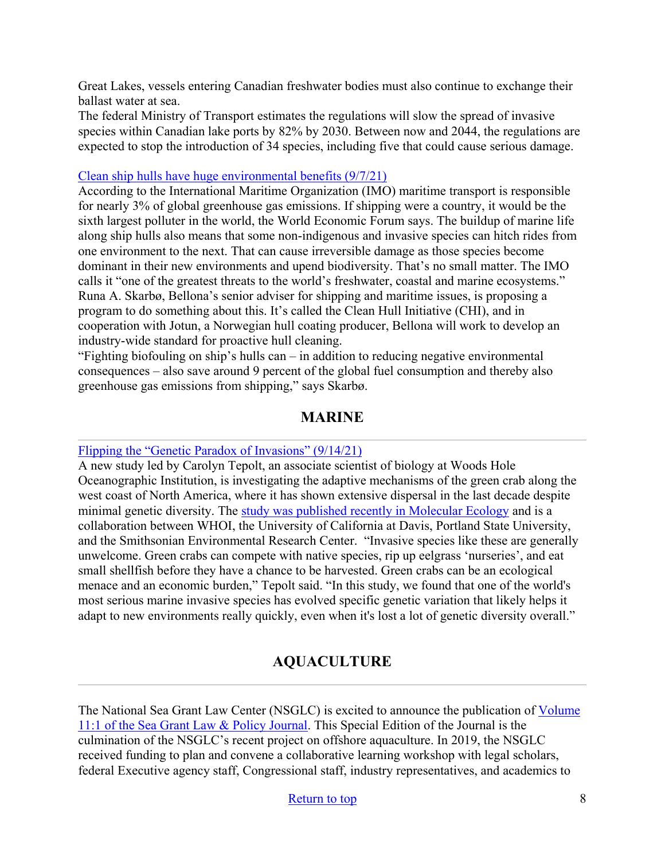Great Lakes, vessels entering Canadian freshwater bodies must also continue to exchange their ballast water at sea.

The federal Ministry of Transport estimates the regulations will slow the spread of invasive species within Canadian lake ports by 82% by 2030. Between now and 2044, the regulations are expected to stop the introduction of 34 species, including five that could cause serious damage.

# [Clean ship hulls have huge environmental benefits \(9/7/21\)](https://bellona.org/news/transport/2021-09-clean-ship-hulls-have-huge-environmental-benefits)

According to the International Maritime Organization (IMO) maritime transport is responsible for nearly 3% of global greenhouse gas emissions. If shipping were a country, it would be the sixth largest polluter in the world, the World Economic Forum says. The buildup of marine life along ship hulls also means that some non-indigenous and invasive species can hitch rides from one environment to the next. That can cause irreversible damage as those species become dominant in their new environments and upend biodiversity. That's no small matter. The IMO calls it "one of the greatest threats to the world's freshwater, coastal and marine ecosystems." Runa A. Skarbø, Bellona's senior adviser for shipping and maritime issues, is proposing a program to do something about this. It's called the Clean Hull Initiative (CHI), and in cooperation with Jotun, a Norwegian hull coating producer, Bellona will work to develop an industry-wide standard for proactive hull cleaning.

"Fighting biofouling on ship's hulls can – in addition to reducing negative environmental consequences – also save around 9 percent of the global fuel consumption and thereby also greenhouse gas emissions from shipping," says Skarbø.

# **MARINE**

# <span id="page-7-0"></span>[Flipping the "Genetic Paradox of Invasions" \(9/14/21\)](https://www.newswise.com/articles/flipping-the-genetic-paradox-of-invasions)

A new study led by Carolyn Tepolt, an associate scientist of biology at Woods Hole Oceanographic Institution, is investigating the adaptive mechanisms of the green crab along the west coast of North America, where it has shown extensive dispersal in the last decade despite minimal genetic diversity. The [study was published recently in Molecular Ecology](https://onlinelibrary.wiley.com/doi/10.1111/mec.16143) and is a collaboration between WHOI, the University of California at Davis, Portland State University, and the Smithsonian Environmental Research Center. "Invasive species like these are generally unwelcome. Green crabs can compete with native species, rip up eelgrass 'nurseries', and eat small shellfish before they have a chance to be harvested. Green crabs can be an ecological menace and an economic burden," Tepolt said. "In this study, we found that one of the world's most serious marine invasive species has evolved specific genetic variation that likely helps it adapt to new environments really quickly, even when it's lost a lot of genetic diversity overall."

# **AQUACULTURE**

<span id="page-7-1"></span>The National Sea Grant Law Center (NSGLC) is excited to announce the publication of Volume [11:1 of the Sea Grant Law & Policy Journal.](http://nsglc.olemiss.edu/sglpj/vol11no1/sglpj11.1.pdf) This Special Edition of the Journal is the culmination of the NSGLC's recent project on offshore aquaculture. In 2019, the NSGLC received funding to plan and convene a collaborative learning workshop with legal scholars, federal Executive agency staff, Congressional staff, industry representatives, and academics to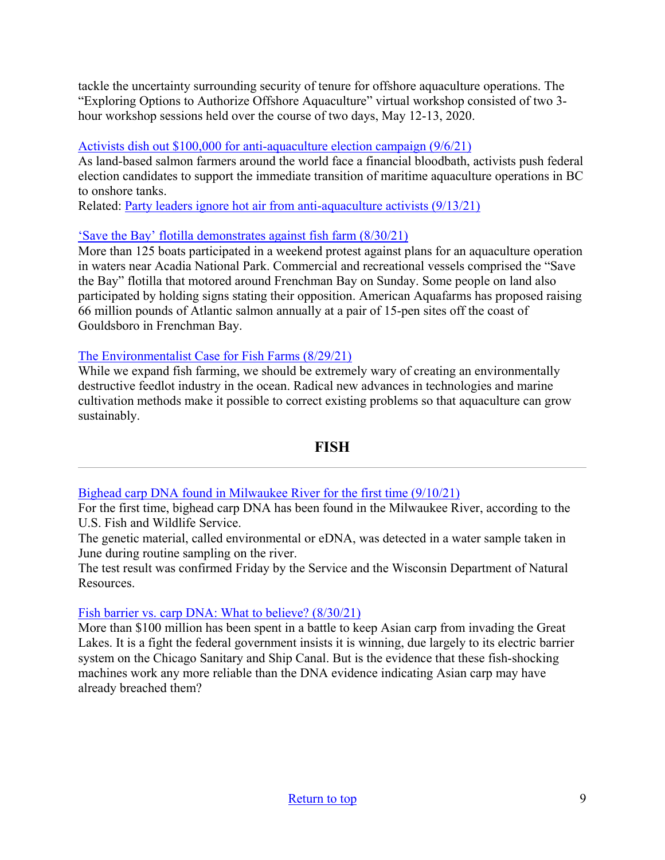tackle the uncertainty surrounding security of tenure for offshore aquaculture operations. The "Exploring Options to Authorize Offshore Aquaculture" virtual workshop consisted of two 3 hour workshop sessions held over the course of two days, May 12-13, 2020.

# [Activists dish out \\$100,000 for anti-aquaculture election campaign \(9/6/21\)](https://seawestnews.com/activists-dish-out-100000-for-anti-aquaculture-election-campaign/)

As land-based salmon farmers around the world face a financial bloodbath, activists push federal election candidates to support the immediate transition of maritime aquaculture operations in BC to onshore tanks.

Related: [Party leaders ignore hot air from anti-aquaculture activists \(9/13/21\)](https://seawestnews.com/party-leaders-ignore-hot-air-from-anti-aquaculture-activists/)

# ['Save the Bay' flotilla demonstrates against fish farm \(8/30/21\)](https://apnews.com/article/business-fish-00fad3ceb0ed16e2a2322f272bab2b17)

More than 125 boats participated in a weekend protest against plans for an aquaculture operation in waters near Acadia National Park. Commercial and recreational vessels comprised the "Save the Bay" flotilla that motored around Frenchman Bay on Sunday. Some people on land also participated by holding signs stating their opposition. American Aquafarms has proposed raising 66 million pounds of Atlantic salmon annually at a pair of 15-pen sites off the coast of Gouldsboro in Frenchman Bay.

# [The Environmentalist Case for Fish Farms \(8/29/21\)](https://www.washingtonpost.com/business/the-environmentalist-case-for-fish-farms/2021/08/28/aa2e249e-0800-11ec-b3c4-c462b1edcfc8_story.html)

While we expand fish farming, we should be extremely wary of creating an environmentally destructive feedlot industry in the ocean. Radical new advances in technologies and marine cultivation methods make it possible to correct existing problems so that aquaculture can grow sustainably.

# **FISH**

<span id="page-8-0"></span>[Bighead carp DNA found in Milwaukee River for the first time \(9/10/21\)](https://www.jsonline.com/story/news/2021/09/10/first-detection-invasive-carp-dna-local-waters/8277864002/)

For the first time, bighead carp DNA has been found in the Milwaukee River, according to the U.S. Fish and Wildlife Service.

The genetic material, called environmental or eDNA, was detected in a water sample taken in June during routine sampling on the river.

The test result was confirmed Friday by the Service and the Wisconsin Department of Natural Resources.

# [Fish barrier vs. carp DNA: What to believe? \(8/30/21\)](https://www.jsonline.com/in-depth/archives/2021/08/30/deep-trouble-part-three-fish-barrier-vs-carp-dna-what-believe/8172050002/)

<span id="page-8-1"></span>More than \$100 million has been spent in a battle to keep Asian carp from invading the Great Lakes. It is a fight the federal government insists it is winning, due largely to its electric barrier system on the Chicago Sanitary and Ship Canal. But is the evidence that these fish-shocking machines work any more reliable than the DNA evidence indicating Asian carp may have already breached them?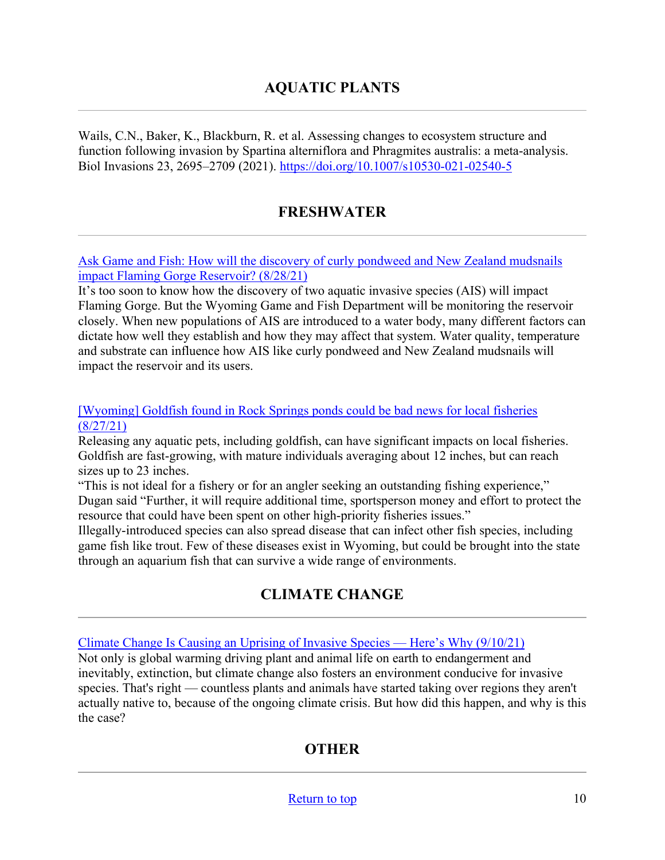# **AQUATIC PLANTS**

Wails, C.N., Baker, K., Blackburn, R. et al. Assessing changes to ecosystem structure and function following invasion by Spartina alterniflora and Phragmites australis: a meta-analysis. Biol Invasions 23, 2695–2709 (2021).<https://doi.org/10.1007/s10530-021-02540-5>

# **FRESHWATER**

<span id="page-9-0"></span>[Ask Game and Fish: How will the discovery of curly pondweed and New Zealand mudsnails](https://www.wyomingnews.com/rocketminer/opinion/columnists/ask-game-and-fish-how-will-the-discovery-of-curly-pondweed-and-new-zealand-mudsnails/article_5382f36b-dfb1-5914-af03-f50ecbb03e0f.html)  [impact Flaming Gorge Reservoir? \(8/28/21\)](https://www.wyomingnews.com/rocketminer/opinion/columnists/ask-game-and-fish-how-will-the-discovery-of-curly-pondweed-and-new-zealand-mudsnails/article_5382f36b-dfb1-5914-af03-f50ecbb03e0f.html)

It's too soon to know how the discovery of two aquatic invasive species (AIS) will impact Flaming Gorge. But the Wyoming Game and Fish Department will be monitoring the reservoir closely. When new populations of AIS are introduced to a water body, many different factors can dictate how well they establish and how they may affect that system. Water quality, temperature and substrate can influence how AIS like curly pondweed and New Zealand mudsnails will impact the reservoir and its users.

#### [\[Wyoming\] Goldfish found in Rock Springs ponds could be bad news for local fisheries](https://www.wyomingnewsnow.tv/2021/08/27/goldfish-found-rock-springs-ponds-could-be-bad-news-local-fisheries/)  [\(8/27/21\)](https://www.wyomingnewsnow.tv/2021/08/27/goldfish-found-rock-springs-ponds-could-be-bad-news-local-fisheries/)

Releasing any aquatic pets, including goldfish, can have significant impacts on local fisheries. Goldfish are fast-growing, with mature individuals averaging about 12 inches, but can reach sizes up to 23 inches.

"This is not ideal for a fishery or for an angler seeking an outstanding fishing experience," Dugan said "Further, it will require additional time, sportsperson money and effort to protect the resource that could have been spent on other high-priority fisheries issues."

Illegally-introduced species can also spread disease that can infect other fish species, including game fish like trout. Few of these diseases exist in Wyoming, but could be brought into the state through an aquarium fish that can survive a wide range of environments.

# **CLIMATE CHANGE**

<span id="page-9-1"></span>[Climate Change Is Causing an Uprising of Invasive Species — Here's Why \(9/10/21\)](https://www.greenmatters.com/p/invasive-species-climate-change)

<span id="page-9-2"></span>Not only is global warming driving plant and animal life on earth to endangerment and inevitably, extinction, but climate change also fosters an environment conducive for invasive species. That's right — countless plants and animals have started taking over regions they aren't actually native to, because of the ongoing climate crisis. But how did this happen, and why is this the case?

# **OTHER**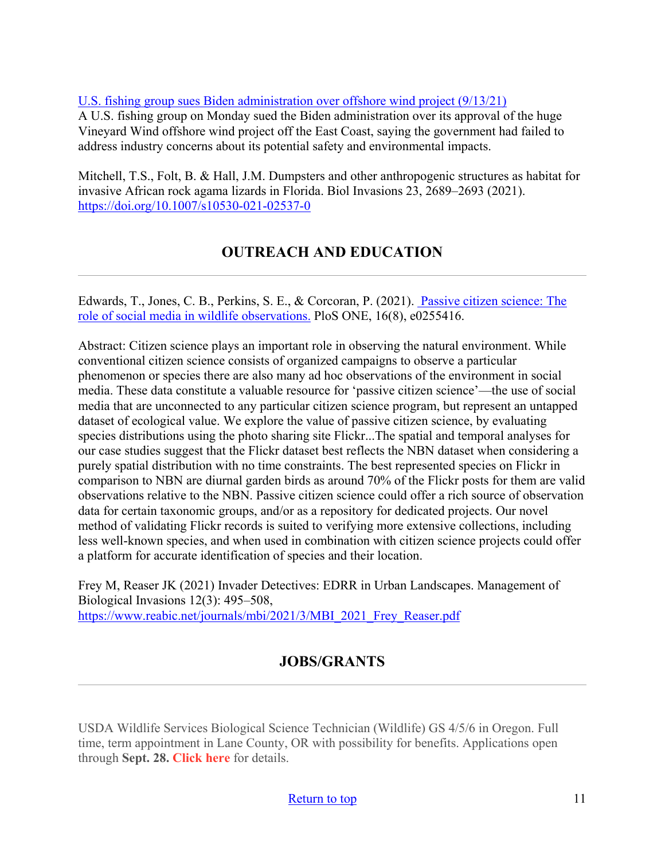# [U.S. fishing group sues Biden administration over offshore wind project \(9/13/21\)](https://www.reuters.com/business/sustainable-business/us-fishing-group-sues-biden-administration-over-offshore-wind-project-2021-09-13/)

A U.S. fishing group on Monday sued the Biden administration over its approval of the huge Vineyard Wind offshore wind project off the East Coast, saying the government had failed to address industry concerns about its potential safety and environmental impacts.

Mitchell, T.S., Folt, B. & Hall, J.M. Dumpsters and other anthropogenic structures as habitat for invasive African rock agama lizards in Florida. Biol Invasions 23, 2689–2693 (2021). <https://doi.org/10.1007/s10530-021-02537-0>

# **OUTREACH AND EDUCATION**

Edwards, T., Jones, C. B., Perkins, S. E., & Corcoran, P. (2021). [Passive citizen science: The](https://journals.plos.org/plosone/article?id=10.1371%2Fjournal.pone.0255416&utm_medium=email&utm_source=govdelivery)  [role of social media in wildlife observations.](https://journals.plos.org/plosone/article?id=10.1371%2Fjournal.pone.0255416&utm_medium=email&utm_source=govdelivery) PloS ONE, 16(8), e0255416.

Abstract: Citizen science plays an important role in observing the natural environment. While conventional citizen science consists of organized campaigns to observe a particular phenomenon or species there are also many ad hoc observations of the environment in social media. These data constitute a valuable resource for 'passive citizen science'—the use of social media that are unconnected to any particular citizen science program, but represent an untapped dataset of ecological value. We explore the value of passive citizen science, by evaluating species distributions using the photo sharing site Flickr...The spatial and temporal analyses for our case studies suggest that the Flickr dataset best reflects the NBN dataset when considering a purely spatial distribution with no time constraints. The best represented species on Flickr in comparison to NBN are diurnal garden birds as around 70% of the Flickr posts for them are valid observations relative to the NBN. Passive citizen science could offer a rich source of observation data for certain taxonomic groups, and/or as a repository for dedicated projects. Our novel method of validating Flickr records is suited to verifying more extensive collections, including less well-known species, and when used in combination with citizen science projects could offer a platform for accurate identification of species and their location.

Frey M, Reaser JK (2021) Invader Detectives: EDRR in Urban Landscapes. Management of Biological Invasions 12(3): 495–508, [https://www.reabic.net/journals/mbi/2021/3/MBI\\_2021\\_Frey\\_Reaser.pdf](https://www.reabic.net/journals/mbi/2021/3/MBI_2021_Frey_Reaser.pdf)

# **JOBS/GRANTS**

<span id="page-10-0"></span>USDA Wildlife Services Biological Science Technician (Wildlife) GS 4/5/6 in Oregon. Full time, term appointment in Lane County, OR with possibility for benefits. Applications open through **Sept. 28. [Click here](https://app.getresponse.com/click.html?x=a62b&lc=StGPhD&mc=IA&s=BGsxkCO&u=Yy3s&z=EtmGcO&)** for details.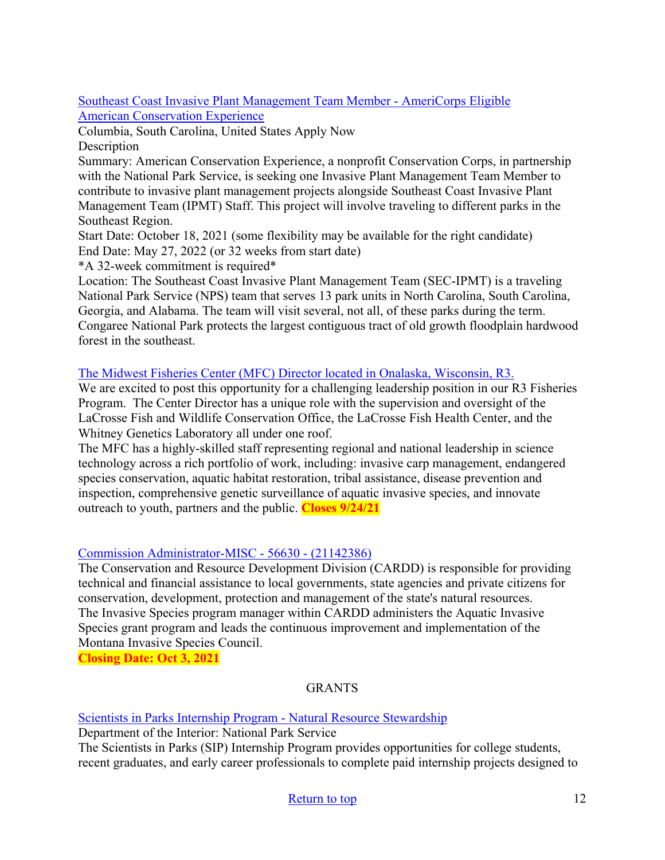[Southeast Coast Invasive Plant Management Team Member - AmeriCorps Eligible](https://careers.wildlife.org/job/southeast-coast-invasive-plant-management-team-member-americorps-eligible/58683323/?utm_campaign=jobseeker-job-alerts&utm_medium=email&utm_source=daily-alert&utm_term=new-job) [American Conservation Experience](https://careers.wildlife.org/job/southeast-coast-invasive-plant-management-team-member-americorps-eligible/58683323/?utm_campaign=jobseeker-job-alerts&utm_medium=email&utm_source=daily-alert&utm_term=new-job)

Columbia, South Carolina, United States Apply Now **Description** 

Summary: American Conservation Experience, a nonprofit Conservation Corps, in partnership with the National Park Service, is seeking one Invasive Plant Management Team Member to contribute to invasive plant management projects alongside Southeast Coast Invasive Plant Management Team (IPMT) Staff. This project will involve traveling to different parks in the Southeast Region.

Start Date: October 18, 2021 (some flexibility may be available for the right candidate) End Date: May 27, 2022 (or 32 weeks from start date)

\*A 32-week commitment is required\*

Location: The Southeast Coast Invasive Plant Management Team (SEC-IPMT) is a traveling National Park Service (NPS) team that serves 13 park units in North Carolina, South Carolina, Georgia, and Alabama. The team will visit several, not all, of these parks during the term. Congaree National Park protects the largest contiguous tract of old growth floodplain hardwood forest in the southeast.

# [The Midwest Fisheries Center \(MFC\) Director located in Onalaska, Wisconsin, R3.](https://www.usajobs.gov/GetJob/ViewDetails/612604700)

We are excited to post this opportunity for a challenging leadership position in our R3 Fisheries Program. The Center Director has a unique role with the supervision and oversight of the LaCrosse Fish and Wildlife Conservation Office, the LaCrosse Fish Health Center, and the Whitney Genetics Laboratory all under one roof.

The MFC has a highly-skilled staff representing regional and national leadership in science technology across a rich portfolio of work, including: invasive carp management, endangered species conservation, aquatic habitat restoration, tribal assistance, disease prevention and inspection, comprehensive genetic surveillance of aquatic invasive species, and innovate outreach to youth, partners and the public. **Closes 9/24/21**

# [Commission Administrator-MISC - 56630 - \(21142386\)](https://mtstatejobs.taleo.net/careersection/200/jobdetail.ftl?job=21142386&tz=GMT-06%3A00&tzname=America%2FDenver)

The Conservation and Resource Development Division (CARDD) is responsible for providing technical and financial assistance to local governments, state agencies and private citizens for conservation, development, protection and management of the state's natural resources. The Invasive Species program manager within CARDD administers the Aquatic Invasive Species grant program and leads the continuous improvement and implementation of the Montana Invasive Species Council.

**Closing Date: Oct 3, 2021** 

# GRANTS

# [Scientists in Parks Internship Program - Natural Resource Stewardship](https://www.grants.gov/web/grants/view-opportunity.html?oppId=334848)

Department of the Interior: National Park Service

The Scientists in Parks (SIP) Internship Program provides opportunities for college students, recent graduates, and early career professionals to complete paid internship projects designed to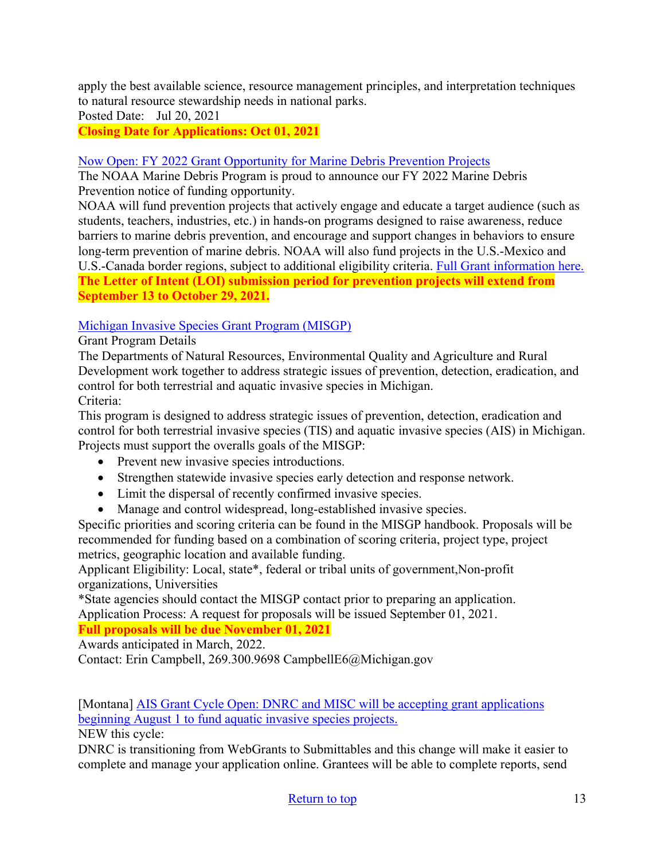apply the best available science, resource management principles, and interpretation techniques to natural resource stewardship needs in national parks.

Posted Date: Jul 20, 2021

**Closing Date for Applications: Oct 01, 2021** 

### [Now Open: FY 2022 Grant Opportunity for Marine Debris Prevention Projects](https://blog.marinedebris.noaa.gov/now-open-fy-2022-grant-opportunity-marine-debris-prevention-projects)

The NOAA Marine Debris Program is proud to announce our FY 2022 Marine Debris Prevention notice of funding opportunity.

NOAA will fund prevention projects that actively engage and educate a target audience (such as students, teachers, industries, etc.) in hands-on programs designed to raise awareness, reduce barriers to marine debris prevention, and encourage and support changes in behaviors to ensure long-term prevention of marine debris. NOAA will also fund projects in the U.S.-Mexico and U.S.-Canada border regions, subject to additional eligibility criteria. [Full Grant information here.](https://www.grants.gov/web/grants/view-opportunity.html?oppId=335704)  **The Letter of Intent (LOI) submission period for prevention projects will extend from September 13 to October 29, 2021.** 

# [Michigan Invasive Species Grant Program \(MISGP\)](https://www.michigan.gov/invasives/0,5664,7-324-71276_92000---,00.html)

Grant Program Details

The Departments of Natural Resources, Environmental Quality and Agriculture and Rural Development work together to address strategic issues of prevention, detection, eradication, and control for both terrestrial and aquatic invasive species in Michigan. Criteria:

This program is designed to address strategic issues of prevention, detection, eradication and control for both terrestrial invasive species (TIS) and aquatic invasive species (AIS) in Michigan. Projects must support the overalls goals of the MISGP:

- Prevent new invasive species introductions.
- Strengthen statewide invasive species early detection and response network.
- Limit the dispersal of recently confirmed invasive species.
- Manage and control widespread, long-established invasive species.

Specific priorities and scoring criteria can be found in the MISGP handbook. Proposals will be recommended for funding based on a combination of scoring criteria, project type, project metrics, geographic location and available funding.

Applicant Eligibility: Local, state\*, federal or tribal units of government,Non-profit organizations, Universities

\*State agencies should contact the MISGP contact prior to preparing an application. Application Process: A request for proposals will be issued September 01, 2021.

# **Full proposals will be due November 01, 2021**

Awards anticipated in March, 2022.

Contact: Erin Campbell, 269.300.9698 CampbellE6@Michigan.gov

[Montana] AIS Grant Cycle Open: DNRC and MISC will be accepting grant applications beginning August 1 to fund aquatic invasive species projects.

NEW this cycle:

DNRC is transitioning from WebGrants to Submittables and this change will make it easier to complete and manage your application online. Grantees will be able to complete reports, send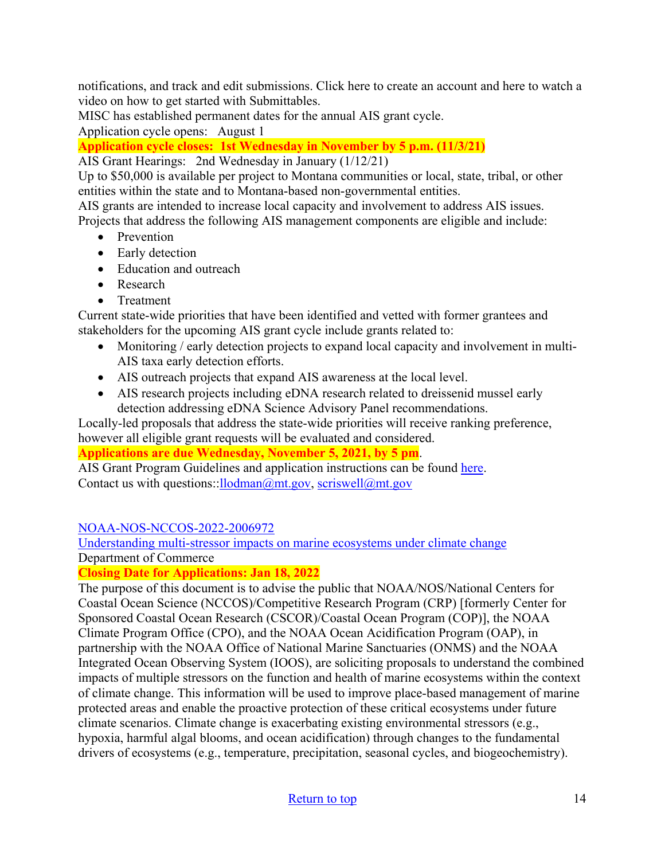notifications, and track and edit submissions. Click here to create an account and here to watch a video on how to get started with Submittables.

MISC has established permanent dates for the annual AIS grant cycle.

Application cycle opens: August 1

**Application cycle closes: 1st Wednesday in November by 5 p.m. (11/3/21)** 

AIS Grant Hearings: 2nd Wednesday in January (1/12/21)

Up to \$50,000 is available per project to Montana communities or local, state, tribal, or other entities within the state and to Montana-based non-governmental entities.

AIS grants are intended to increase local capacity and involvement to address AIS issues.

Projects that address the following AIS management components are eligible and include:

- Prevention
- Early detection
- Education and outreach
- Research
- Treatment

Current state-wide priorities that have been identified and vetted with former grantees and stakeholders for the upcoming AIS grant cycle include grants related to:

- Monitoring / early detection projects to expand local capacity and involvement in multi-AIS taxa early detection efforts.
- AIS outreach projects that expand AIS awareness at the local level.
- AIS research projects including eDNA research related to dreissenid mussel early detection addressing eDNA Science Advisory Panel recommendations.

Locally-led proposals that address the state-wide priorities will receive ranking preference, however all eligible grant requests will be evaluated and considered.

**Applications are due Wednesday, November 5, 2021, by 5 pm**.

AIS Grant Program Guidelines and application instructions can be found [here.](https://invasivespecies.mt.gov/montana-invasive-species/Aquatic-Invasive-Species-Grant-Program) Contact us with questions:: $l$ lodman@mt.gov, scriswell@mt.gov

# [NOAA-NOS-NCCOS-2022-2006972](https://www.grants.gov/web/grants/view-opportunity.html?oppId=334906)

[Understanding multi-stressor impacts on marine ecosystems under climate change](https://www.grants.gov/web/grants/view-opportunity.html?oppId=334906) Department of Commerce

# **Closing Date for Applications: Jan 18, 2022**

The purpose of this document is to advise the public that NOAA/NOS/National Centers for Coastal Ocean Science (NCCOS)/Competitive Research Program (CRP) [formerly Center for Sponsored Coastal Ocean Research (CSCOR)/Coastal Ocean Program (COP)], the NOAA Climate Program Office (CPO), and the NOAA Ocean Acidification Program (OAP), in partnership with the NOAA Office of National Marine Sanctuaries (ONMS) and the NOAA Integrated Ocean Observing System (IOOS), are soliciting proposals to understand the combined impacts of multiple stressors on the function and health of marine ecosystems within the context of climate change. This information will be used to improve place-based management of marine protected areas and enable the proactive protection of these critical ecosystems under future climate scenarios. Climate change is exacerbating existing environmental stressors (e.g., hypoxia, harmful algal blooms, and ocean acidification) through changes to the fundamental drivers of ecosystems (e.g., temperature, precipitation, seasonal cycles, and biogeochemistry).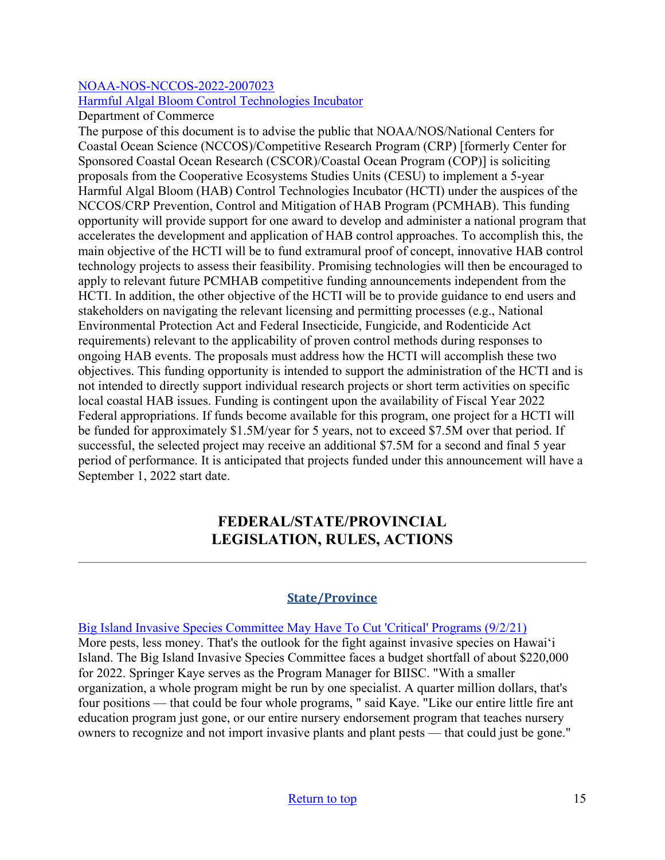# [NOAA-NOS-NCCOS-2022-2007023](https://www.grants.gov/web/grants/view-opportunity.html?oppId=335726)

#### [Harmful Algal Bloom Control Technologies Incubator](https://www.grants.gov/web/grants/view-opportunity.html?oppId=335726)

Department of Commerce

The purpose of this document is to advise the public that NOAA/NOS/National Centers for Coastal Ocean Science (NCCOS)/Competitive Research Program (CRP) [formerly Center for Sponsored Coastal Ocean Research (CSCOR)/Coastal Ocean Program (COP)] is soliciting proposals from the Cooperative Ecosystems Studies Units (CESU) to implement a 5-year Harmful Algal Bloom (HAB) Control Technologies Incubator (HCTI) under the auspices of the NCCOS/CRP Prevention, Control and Mitigation of HAB Program (PCMHAB). This funding opportunity will provide support for one award to develop and administer a national program that accelerates the development and application of HAB control approaches. To accomplish this, the main objective of the HCTI will be to fund extramural proof of concept, innovative HAB control technology projects to assess their feasibility. Promising technologies will then be encouraged to apply to relevant future PCMHAB competitive funding announcements independent from the HCTI. In addition, the other objective of the HCTI will be to provide guidance to end users and stakeholders on navigating the relevant licensing and permitting processes (e.g., National Environmental Protection Act and Federal Insecticide, Fungicide, and Rodenticide Act requirements) relevant to the applicability of proven control methods during responses to ongoing HAB events. The proposals must address how the HCTI will accomplish these two objectives. This funding opportunity is intended to support the administration of the HCTI and is not intended to directly support individual research projects or short term activities on specific local coastal HAB issues. Funding is contingent upon the availability of Fiscal Year 2022 Federal appropriations. If funds become available for this program, one project for a HCTI will be funded for approximately \$1.5M/year for 5 years, not to exceed \$7.5M over that period. If successful, the selected project may receive an additional \$7.5M for a second and final 5 year period of performance. It is anticipated that projects funded under this announcement will have a September 1, 2022 start date.

# **FEDERAL/STATE/PROVINCIAL LEGISLATION, RULES, ACTIONS**

# **State/Province**

<span id="page-14-0"></span>[Big Island Invasive Species Committee May Have To Cut 'Critical' Programs \(9/2/21\)](https://www.hawaiipublicradio.org/the-conversation/2021-09-02/big-island-invasive-species-committee-may-have-to-cut-critical-programs) More pests, less money. That's the outlook for the fight against invasive species on Hawai'i Island. The Big Island Invasive Species Committee faces a budget shortfall of about \$220,000 for 2022. Springer Kaye serves as the Program Manager for BIISC. "With a smaller organization, a whole program might be run by one specialist. A quarter million dollars, that's four positions — that could be four whole programs, " said Kaye. "Like our entire little fire ant education program just gone, or our entire nursery endorsement program that teaches nursery owners to recognize and not import invasive plants and plant pests — that could just be gone."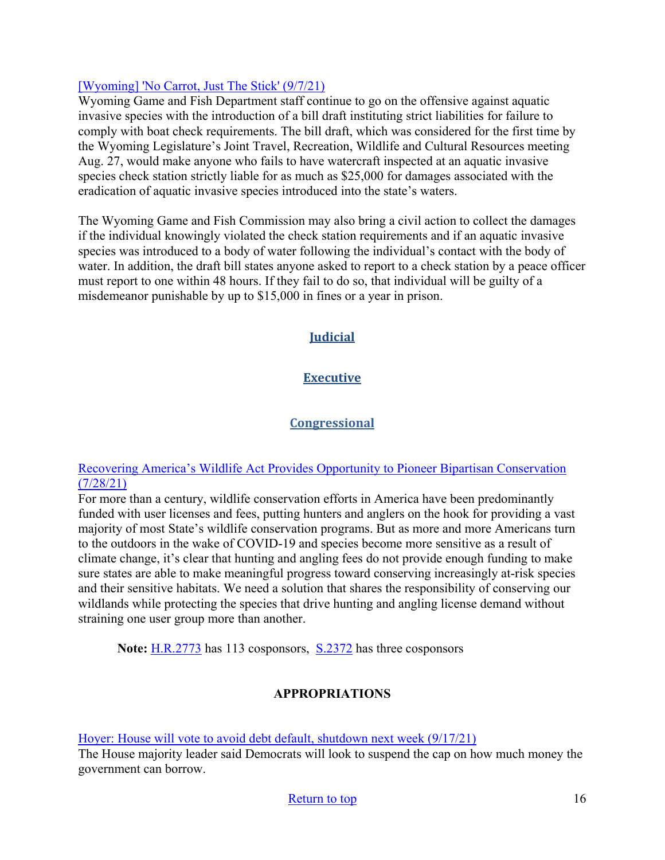# [\[Wyoming\] 'No Carrot, Just The Stick' \(9/7/21\)](https://www.thesheridanpress.com/news/bill-draft-suggest-steep-penalties-for-skipping-aquatic-invasive-species-check-stations/article_8f92a994-0b60-11ec-b32c-7baf8fac8975.html)

Wyoming Game and Fish Department staff continue to go on the offensive against aquatic invasive species with the introduction of a bill draft instituting strict liabilities for failure to comply with boat check requirements. The bill draft, which was considered for the first time by the Wyoming Legislature's Joint Travel, Recreation, Wildlife and Cultural Resources meeting Aug. 27, would make anyone who fails to have watercraft inspected at an aquatic invasive species check station strictly liable for as much as \$25,000 for damages associated with the eradication of aquatic invasive species introduced into the state's waters.

The Wyoming Game and Fish Commission may also bring a civil action to collect the damages if the individual knowingly violated the check station requirements and if an aquatic invasive species was introduced to a body of water following the individual's contact with the body of water. In addition, the draft bill states anyone asked to report to a check station by a peace officer must report to one within 48 hours. If they fail to do so, that individual will be guilty of a misdemeanor punishable by up to \$15,000 in fines or a year in prison.

# **Judicial**

# **Executive**

# **Congressional**

#### [Recovering America's Wildlife Act Provides Opportunity to Pioneer Bipartisan Conservation](https://www.nwf.org/Outdoors/Blog/Copy-of-07-28-2021-Restoring-Americas-Wildlife)  [\(7/28/21\)](https://www.nwf.org/Outdoors/Blog/Copy-of-07-28-2021-Restoring-Americas-Wildlife)

For more than a century, wildlife conservation efforts in America have been predominantly funded with user licenses and fees, putting hunters and anglers on the hook for providing a vast majority of most State's wildlife conservation programs. But as more and more Americans turn to the outdoors in the wake of COVID-19 and species become more sensitive as a result of climate change, it's clear that hunting and angling fees do not provide enough funding to make sure states are able to make meaningful progress toward conserving increasingly at-risk species and their sensitive habitats. We need a solution that shares the responsibility of conserving our wildlands while protecting the species that drive hunting and angling license demand without straining one user group more than another.

**Note:** [H.R.2773](https://www.congress.gov/bill/117th-congress/house-bill/2773) has 113 cosponsors, [S.2372](https://www.congress.gov/bill/117th-congress/senate-bill/2372) has three cosponsors

# **APPROPRIATIONS**

[Hoyer: House will vote to avoid debt default, shutdown next week \(9/17/21\)](https://www.politico.com/news/2021/09/17/government-shutdown-debt-hoyer-512508) 

The House majority leader said Democrats will look to suspend the cap on how much money the government can borrow.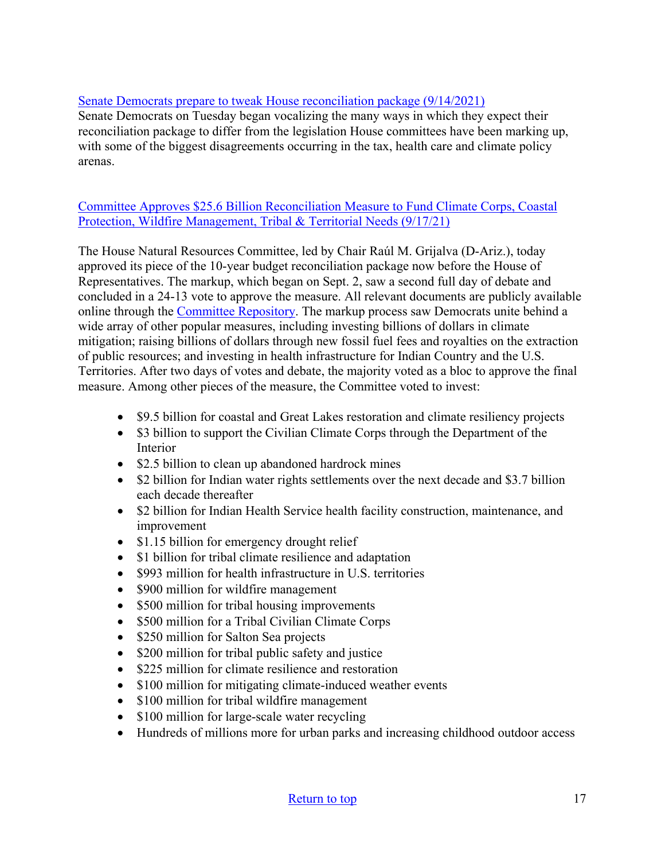# [Senate Democrats prepare to tweak House reconciliation package \(9/14/2021\)](https://www.rollcall.com/2021/09/14/senate-democrats-prepare-to-tweak-house-reconciliation-package/)

Senate Democrats on Tuesday began vocalizing the many ways in which they expect their reconciliation package to differ from the legislation House committees have been marking up, with some of the biggest disagreements occurring in the tax, health care and climate policy arenas.

# [Committee Approves \\$25.6 Billion Reconciliation Measure to Fund Climate Corps, Coastal](https://naturalresources.house.gov/media/press-releases/committee-approves-256-billion-reconciliation-measure-to-fund-climate-corps-coastal-protection-wildfire-management-tribal-and-territorial-needs)  [Protection, Wildfire Management, Tribal & Territorial Needs \(9/17/21\)](https://naturalresources.house.gov/media/press-releases/committee-approves-256-billion-reconciliation-measure-to-fund-climate-corps-coastal-protection-wildfire-management-tribal-and-territorial-needs)

The House Natural Resources Committee, led by Chair Raúl M. Grijalva (D-Ariz.), today approved its piece of the 10-year budget reconciliation package now before the House of Representatives. The markup, which began on Sept. 2, saw a second full day of debate and concluded in a 24-13 vote to approve the measure. All relevant documents are publicly available online through the [Committee Repository.](https://docs.house.gov/Committee/Calendar/ByEvent.aspx?EventID=114019) The markup process saw Democrats unite behind a wide array of other popular measures, including investing billions of dollars in climate mitigation; raising billions of dollars through new fossil fuel fees and royalties on the extraction of public resources; and investing in health infrastructure for Indian Country and the U.S. Territories. After two days of votes and debate, the majority voted as a bloc to approve the final measure. Among other pieces of the measure, the Committee voted to invest:

- \$9.5 billion for coastal and Great Lakes restoration and climate resiliency projects
- \$3 billion to support the Civilian Climate Corps through the Department of the Interior
- \$2.5 billion to clean up abandoned hardrock mines
- \$2 billion for Indian water rights settlements over the next decade and \$3.7 billion each decade thereafter
- \$2 billion for Indian Health Service health facility construction, maintenance, and improvement
- \$1.15 billion for emergency drought relief
- \$1 billion for tribal climate resilience and adaptation
- \$993 million for health infrastructure in U.S. territories
- \$900 million for wildfire management
- \$500 million for tribal housing improvements
- \$500 million for a Tribal Civilian Climate Corps
- \$250 million for Salton Sea projects
- \$200 million for tribal public safety and justice
- \$225 million for climate resilience and restoration
- \$100 million for mitigating climate-induced weather events
- \$100 million for tribal wildfire management
- \$100 million for large-scale water recycling
- Hundreds of millions more for urban parks and increasing childhood outdoor access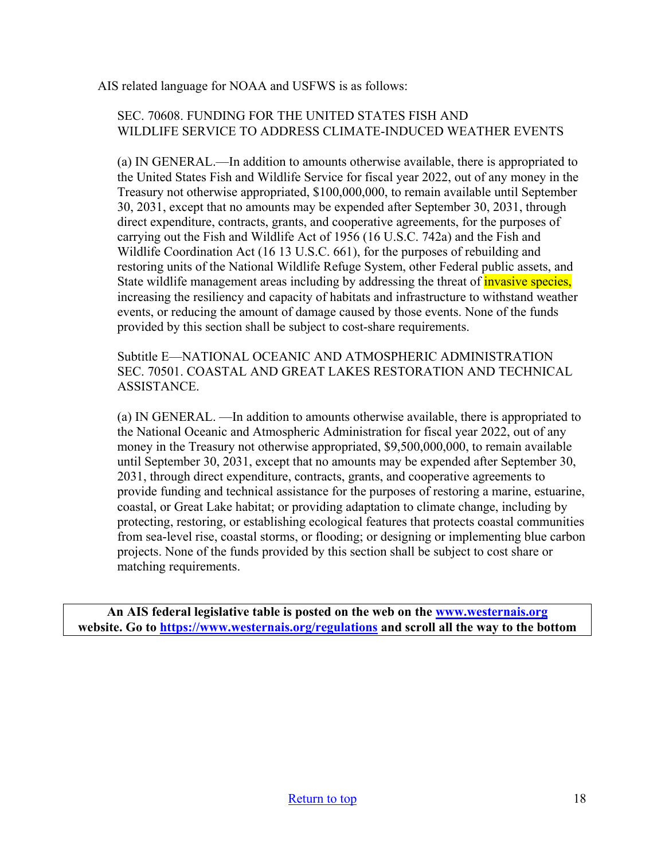AIS related language for NOAA and USFWS is as follows:

# SEC. 70608. FUNDING FOR THE UNITED STATES FISH AND WILDLIFE SERVICE TO ADDRESS CLIMATE-INDUCED WEATHER EVENTS

(a) IN GENERAL.—In addition to amounts otherwise available, there is appropriated to the United States Fish and Wildlife Service for fiscal year 2022, out of any money in the Treasury not otherwise appropriated, \$100,000,000, to remain available until September 30, 2031, except that no amounts may be expended after September 30, 2031, through direct expenditure, contracts, grants, and cooperative agreements, for the purposes of carrying out the Fish and Wildlife Act of 1956 (16 U.S.C. 742a) and the Fish and Wildlife Coordination Act (16 13 U.S.C. 661), for the purposes of rebuilding and restoring units of the National Wildlife Refuge System, other Federal public assets, and State wildlife management areas including by addressing the threat of *invasive species*, increasing the resiliency and capacity of habitats and infrastructure to withstand weather events, or reducing the amount of damage caused by those events. None of the funds provided by this section shall be subject to cost-share requirements.

Subtitle E—NATIONAL OCEANIC AND ATMOSPHERIC ADMINISTRATION SEC. 70501. COASTAL AND GREAT LAKES RESTORATION AND TECHNICAL ASSISTANCE.

(a) IN GENERAL. —In addition to amounts otherwise available, there is appropriated to the National Oceanic and Atmospheric Administration for fiscal year 2022, out of any money in the Treasury not otherwise appropriated, \$9,500,000,000, to remain available until September 30, 2031, except that no amounts may be expended after September 30, 2031, through direct expenditure, contracts, grants, and cooperative agreements to provide funding and technical assistance for the purposes of restoring a marine, estuarine, coastal, or Great Lake habitat; or providing adaptation to climate change, including by protecting, restoring, or establishing ecological features that protects coastal communities from sea-level rise, coastal storms, or flooding; or designing or implementing blue carbon projects. None of the funds provided by this section shall be subject to cost share or matching requirements.

**An AIS federal legislative table is posted on the web on the [www.westernais.org](http://www.westernais.org/) website. Go to<https://www.westernais.org/regulations> and scroll all the way to the bottom**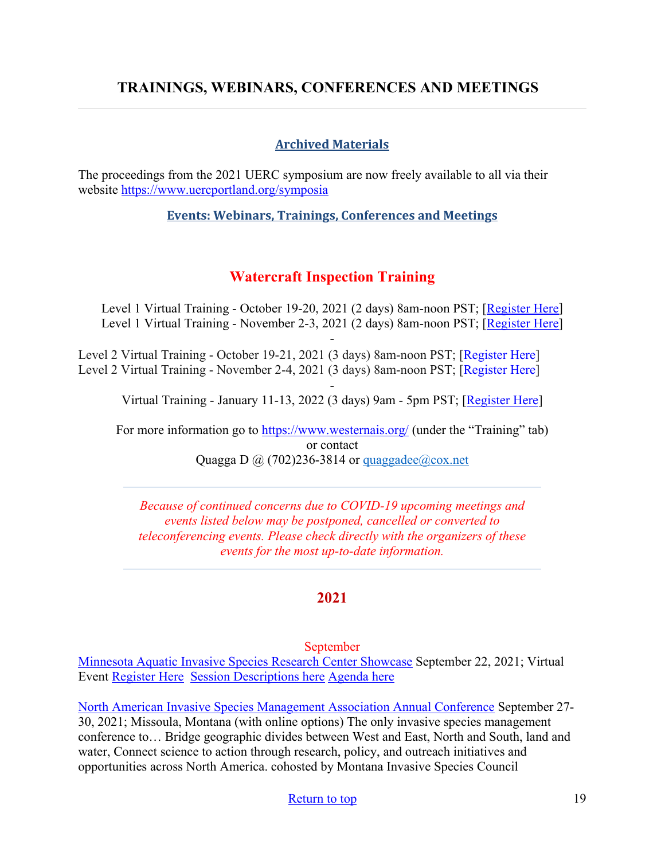# <span id="page-18-0"></span>**TRAININGS, WEBINARS, CONFERENCES AND MEETINGS**

#### **Archived Materials**

The proceedings from the 2021 UERC symposium are now freely available to all via their website<https://www.uercportland.org/symposia>

#### **Events: Webinars, Trainings, Conferences and Meetings**

# **Watercraft Inspection Training**

Level 1 Virtual Training - October 19-20, 2021 (2 days) 8am-noon PST; [\[Register Here\]](https://us02web.zoom.us/meeting/register/tZIlf-iqqjkjHdQqXQSH1PPVOm3z-kVYPF5C) Level 1 Virtual Training - November 2-3, 2021 (2 days) 8am-noon PST; [\[Register Here\]](https://us02web.zoom.us/meeting/register/tZAlcOuoqTkrG9xGOjP0h3ywaBfCJUv_dXh1)

-

Level 2 Virtual Training - October 19-21, 2021 (3 days) 8am-noon PST; [\[Register](https://us02web.zoom.us/meeting/register/tZIlf-iqqjkjHdQqXQSH1PPVOm3z-kVYPF5C) Here] Level 2 Virtual Training - November 2-4, 2021 (3 days) 8am-noon PST; [\[Register](https://us02web.zoom.us/meeting/register/tZAlcOuoqTkrG9xGOjP0h3ywaBfCJUv_dXh1) Here]

- Virtual Training - January 11-13, 2022 (3 days) 9am - 5pm PST; [\[Register Here\]](https://us02web.zoom.us/meeting/register/tZUlceusrz8tEtxpkyyr9PfPy9piCHkIki8K)

For more information go to<https://www.westernais.org/> (under the "Training" tab) or contact Quagga D  $\omega$  (702)236-3814 or quaggadee $\omega$ cox.net

*Because of continued concerns due to COVID-19 upcoming meetings and events listed below may be postponed, cancelled or converted to teleconferencing events. Please check directly with the organizers of these events for the most up-to-date information.* 

# **2021**

#### September

[Minnesota Aquatic Invasive Species Research Center Showcase](https://www.maisrc.umn.edu/?utm_medium=email&utm_source=govdelivery) September 22, 2021; Virtual Event [Register Here](https://www.eventbrite.com/e/2021-minnesota-aquatic-invasive-species-research-and-management-showcase-tickets-164145683157) [Session Descriptions here](https://drive.google.com/file/d/1G0bosu_4rvCkGCso4ZGijDs3fK5cWDKE/view) [Agenda here](https://drive.google.com/file/d/1m2D35DzgFII0Vs1-YRkz_jqN2NDvsNgh/view)

[North American Invasive Species Management Association Annual Conference](https://naisma.org/conferences/?utm_medium=email&utm_source=govdelivery) September 27- 30, 2021; Missoula, Montana (with online options) The only invasive species management conference to… Bridge geographic divides between West and East, North and South, land and water, Connect science to action through research, policy, and outreach initiatives and opportunities across North America. cohosted by Montana Invasive Species Council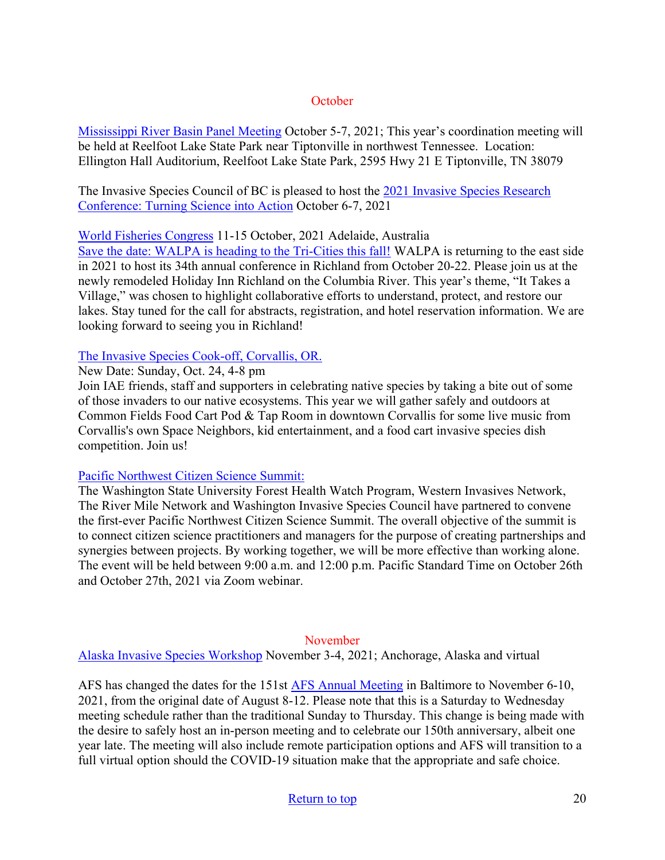#### **October**

[Mississippi River Basin Panel Meeting](http://mrbp.org/meetings?utm_medium=email&utm_source=govdelivery) October 5-7, 2021; This year's coordination meeting will be held at Reelfoot Lake State Park near Tiptonville in northwest Tennessee. Location: Ellington Hall Auditorium, Reelfoot Lake State Park, 2595 Hwy 21 E Tiptonville, TN 38079

The Invasive Species Council of BC is pleased to host the 2021 Invasive Species Research [Conference: Turning Science into Action](https://bcinvasives.ca/resources/professional-events/2021-invasive-species-research-conference-turning-science-into-action/) October 6-7, 2021

# [World Fisheries Congress](https://wfc2020.com.au/) 11-15 October, 2021 Adelaide, Australia

[Save the date: WALPA is heading to the Tri-Cities this fall!](https://www.walpa.org/waterline/march-2021/save-the-date-walpa-is-heading-to-the-tri-cities-this-fall/) WALPA is returning to the east side in 2021 to host its 34th annual conference in Richland from October 20-22. Please join us at the newly remodeled Holiday Inn Richland on the Columbia River. This year's theme, "It Takes a Village," was chosen to highlight collaborative efforts to understand, protect, and restore our lakes. Stay tuned for the call for abstracts, registration, and hotel reservation information. We are looking forward to seeing you in Richland!

# [The Invasive Species Cook-off, Corvallis, OR.](https://appliedeco.org/calendar/invasive-species-cook-off/)

# New Date: Sunday, Oct. 24, 4-8 pm

Join IAE friends, staff and supporters in celebrating native species by taking a bite out of some of those invaders to our native ecosystems. This year we will gather safely and outdoors at Common Fields Food Cart Pod & Tap Room in downtown Corvallis for some live music from Corvallis's own Space Neighbors, kid entertainment, and a food cart invasive species dish competition. Join us!

# [Pacific Northwest Citizen Science Summit:](https://pnwcitsci.org/)

The Washington State University Forest Health Watch Program, Western Invasives Network, The River Mile Network and Washington Invasive Species Council have partnered to convene the first-ever Pacific Northwest Citizen Science Summit. The overall objective of the summit is to connect citizen science practitioners and managers for the purpose of creating partnerships and synergies between projects. By working together, we will be more effective than working alone. The event will be held between 9:00 a.m. and 12:00 p.m. Pacific Standard Time on October 26th and October 27th, 2021 via Zoom webinar.

#### November

# [Alaska Invasive Species Workshop](https://uaf.edu/ces/invasives/conference/?utm_medium=email&utm_source=govdelivery) November 3-4, 2021; Anchorage, Alaska and virtual

AFS has changed the dates for the 151st [AFS Annual Meeting](https://fisheries.org/) in Baltimore to November 6-10, 2021, from the original date of August 8-12. Please note that this is a Saturday to Wednesday meeting schedule rather than the traditional Sunday to Thursday. This change is being made with the desire to safely host an in-person meeting and to celebrate our 150th anniversary, albeit one year late. The meeting will also include remote participation options and AFS will transition to a full virtual option should the COVID-19 situation make that the appropriate and safe choice.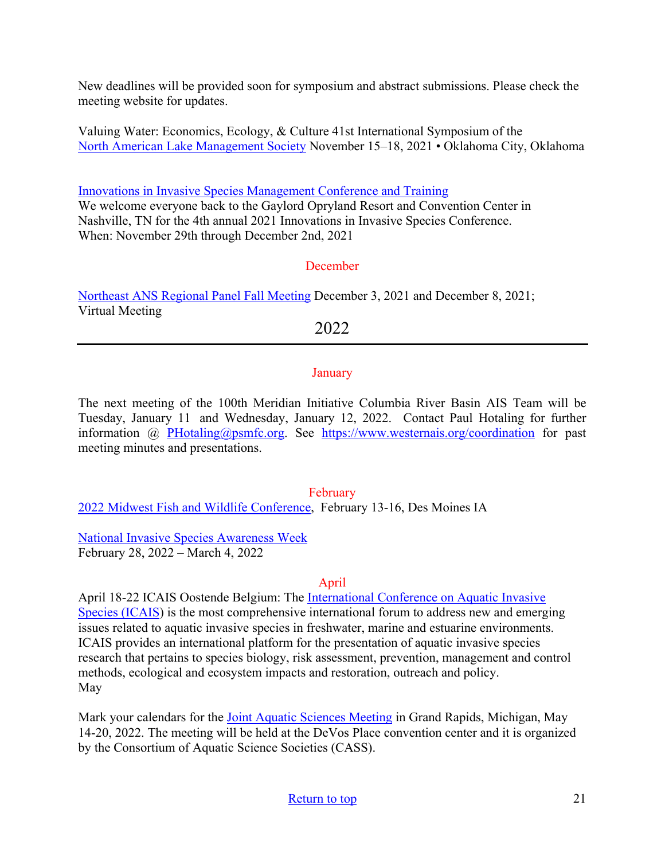New deadlines will be provided soon for symposium and abstract submissions. Please check the meeting website for updates.

Valuing Water: Economics, Ecology, & Culture 41st International Symposium of the [North American Lake Management Society](https://www.nalms.org/) November 15–18, 2021 • Oklahoma City, Oklahoma

[Innovations in Invasive Species Management Conference and Training](https://www.invasiveplantcontrol.com/conference21/) We welcome everyone back to the Gaylord Opryland Resort and Convention Center in Nashville, TN for the 4th annual 2021 Innovations in Invasive Species Conference. When: November 29th through December 2nd, 2021

# **December**

[Northeast ANS Regional Panel Fall Meeting](https://www.northeastans.org/index.php/home/meetings-and-panel-information/?utm_medium=email&utm_source=govdelivery) December 3, 2021 and December 8, 2021; Virtual Meeting

2022

#### **January**

The next meeting of the 100th Meridian Initiative Columbia River Basin AIS Team will be Tuesday, January 11 and Wednesday, January 12, 2022.Contact Paul Hotaling for further information @ [PHotaling@psmfc.org.](mailto:PHotaling@psmfc.org) See <https://www.westernais.org/coordination> for past meeting minutes and presentations.

#### February

[2022 Midwest Fish and Wildlife Conference,](http://www.midwestfw.org/html/call-for-symposia.shtml) February 13-16, Des Moines IA

[National Invasive Species Awareness Week](https://www.nisaw.org/?utm_medium=email&utm_source=govdelivery) February 28, 2022 – March 4, 2022

#### April

April 18-22 ICAIS Oostende Belgium: The [International Conference on Aquatic Invasive](http://www.icais.org/)  [Species \(ICAIS\)](http://www.icais.org/) is the most comprehensive international forum to address new and emerging issues related to aquatic invasive species in freshwater, marine and estuarine environments. ICAIS provides an international platform for the presentation of aquatic invasive species research that pertains to species biology, risk assessment, prevention, management and control methods, ecological and ecosystem impacts and restoration, outreach and policy. May

Mark your calendars for the [Joint Aquatic Sciences Meeting](https://jasm2022.aquaticsocieties.org/) in Grand Rapids, Michigan, May 14-20, 2022. The meeting will be held at the DeVos Place convention center and it is organized by the Consortium of Aquatic Science Societies (CASS).